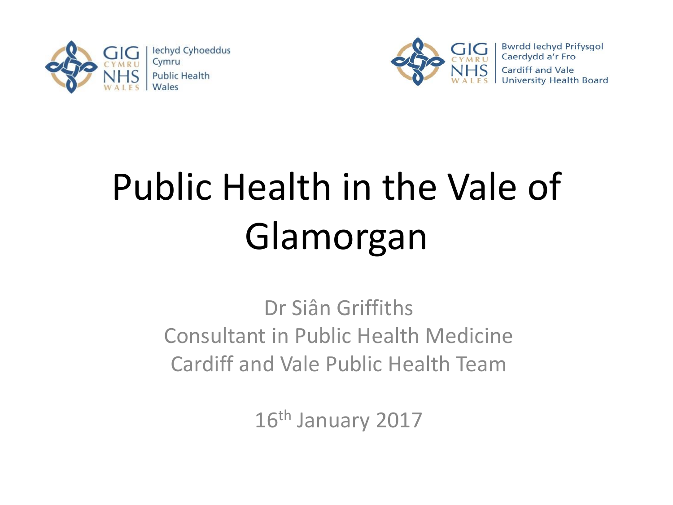



# Public Health in the Vale of Glamorgan

Dr Siân Griffiths Consultant in Public Health Medicine Cardiff and Vale Public Health Team

16<sup>th</sup> January 2017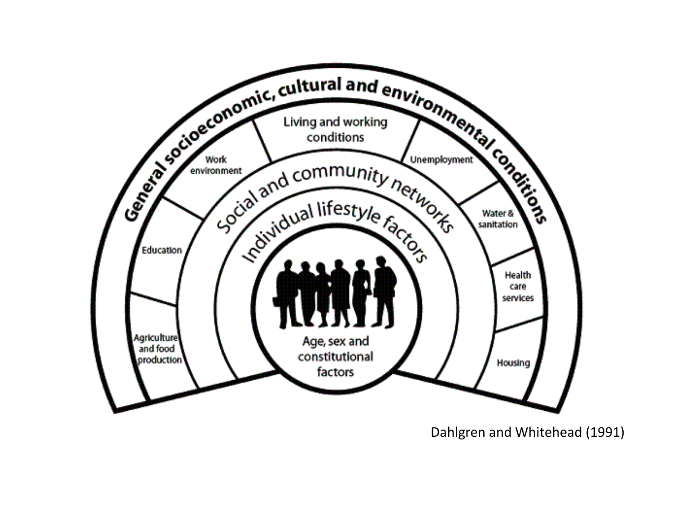

Dahlgren and Whitehead (1991)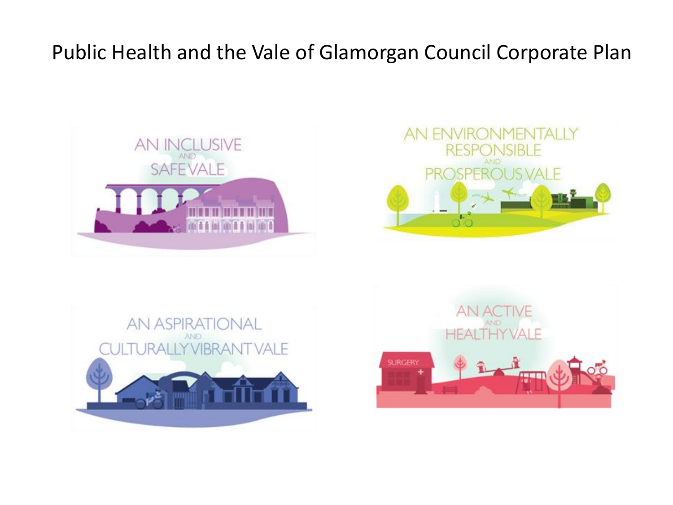### Public Health and the Vale of Glamorgan Council Corporate Plan







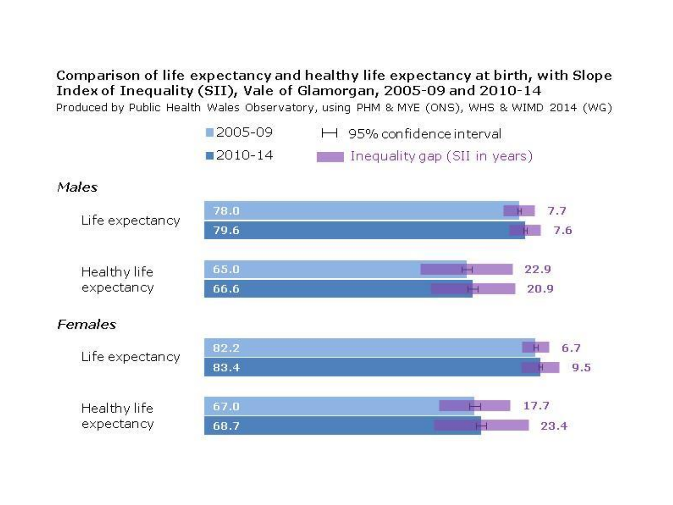### Comparison of life expectancy and healthy life expectancy at birth, with Slope Index of Inequality (SII), Vale of Glamorgan, 2005-09 and 2010-14

Produced by Public Health Wales Observatory, using PHM & MYE (ONS), WHS & WIMD 2014 (WG)



### Males



### Females

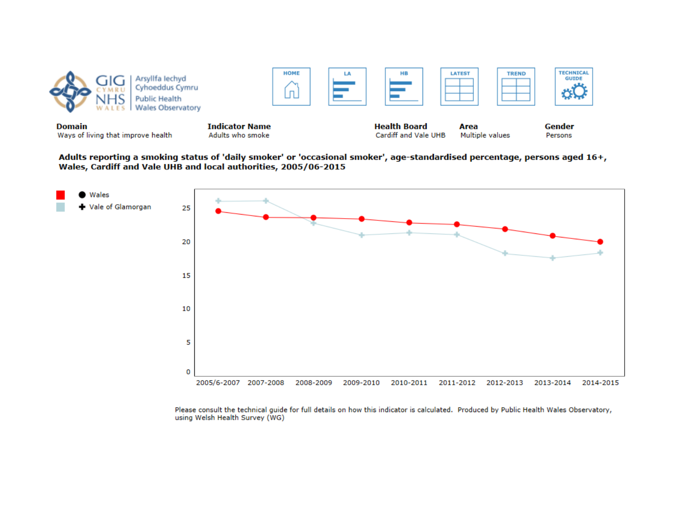

Adults reporting a smoking status of 'daily smoker' or 'occasional smoker', age-standardised percentage, persons aged 16+, Wales, Cardiff and Vale UHB and local authorities, 2005/06-2015



Please consult the technical guide for full details on how this indicator is calculated. Produced by Public Health Wales Observatory, using Welsh Health Survey (WG)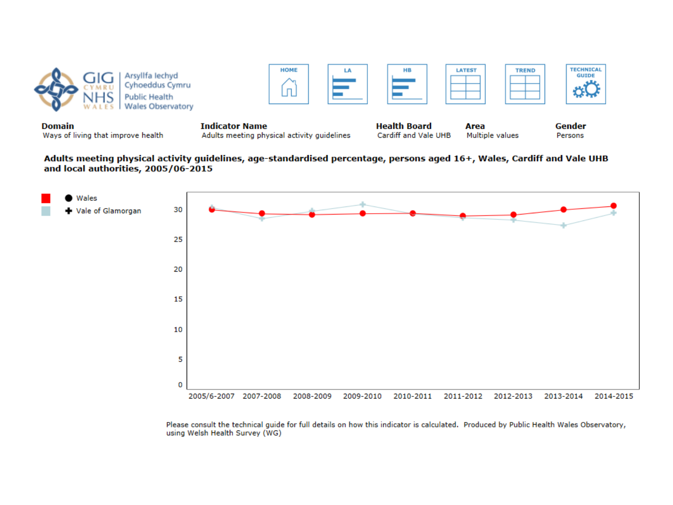



Ways of living that improve health

Adults meeting physical activity guidelines

Area Cardiff and Vale UHB Multiple values

Persons

Adults meeting physical activity guidelines, age-standardised percentage, persons aged 16+, Wales, Cardiff and Vale UHB and local authorities, 2005/06-2015



Please consult the technical quide for full details on how this indicator is calculated. Produced by Public Health Wales Observatory, using Welsh Health Survey (WG)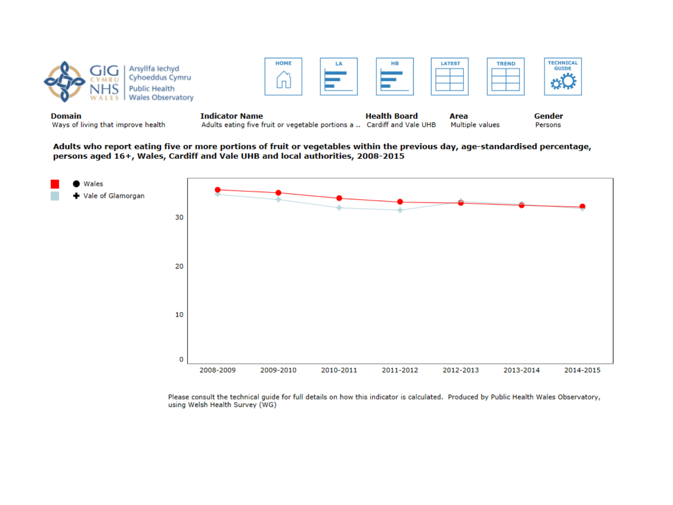| <b>Domain</b> | <b>Public Health</b><br><b>Wales Observatory</b> | <b>Indicator Name</b> |    | <b>Health Board</b> | Area          |              | Gender                           |
|---------------|--------------------------------------------------|-----------------------|----|---------------------|---------------|--------------|----------------------------------|
|               | vllfa lechvd<br>Cyhoeddus Cymru                  | <b>HOME</b>           | LA | <b>HB</b>           | <b>LATEST</b> | <b>TREND</b> | <b>TECHNICAL</b><br><b>GUIDE</b> |

Adults who report eating five or more portions of fruit or vegetables within the previous day, age-standardised percentage, persons aged 16+, Wales, Cardiff and Vale UHB and local authorities, 2008-2015



Please consult the technical guide for full details on how this indicator is calculated. Produced by Public Health Wales Observatory, using Welsh Health Survey (WG)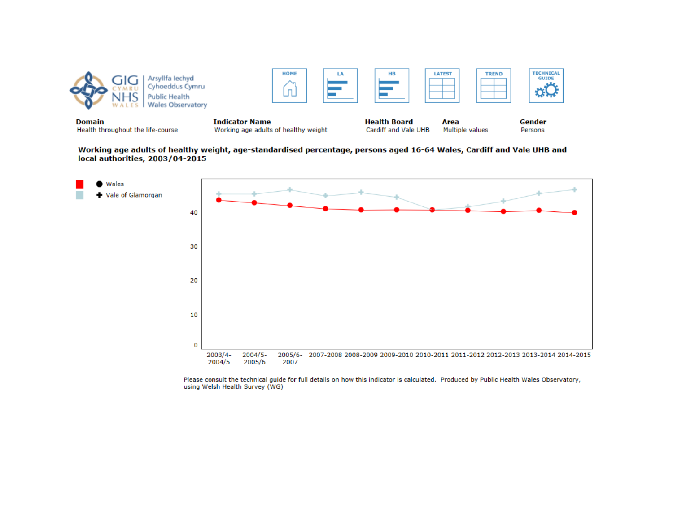

Working age adults of healthy weight, age-standardised percentage, persons aged 16-64 Wales, Cardiff and Vale UHB and local authorities, 2003/04-2015



Please consult the technical guide for full details on how this indicator is calculated. Produced by Public Health Wales Observatory, using Welsh Health Survey (WG)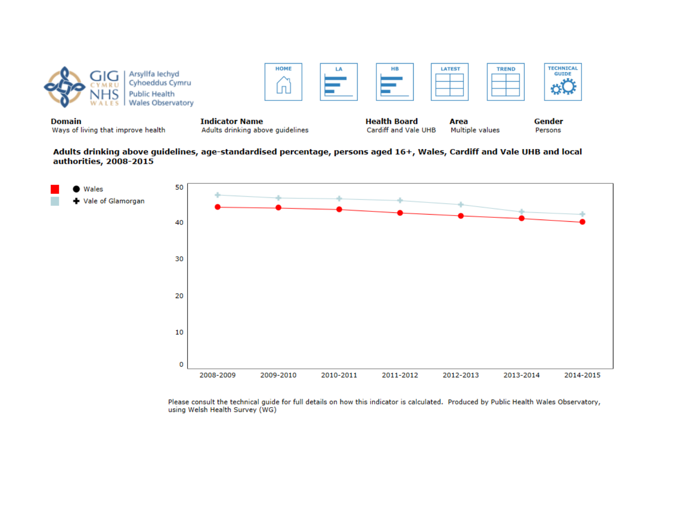

Adults drinking above guidelines, age-standardised percentage, persons aged 16+, Wales, Cardiff and Vale UHB and local authorities, 2008-2015



Please consult the technical guide for full details on how this indicator is calculated. Produced by Public Health Wales Observatory, using Welsh Health Survey (WG)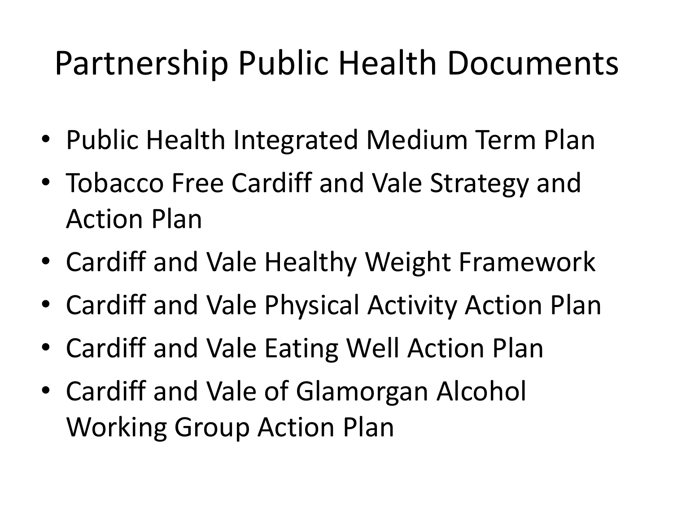## Partnership Public Health Documents

- Public Health Integrated Medium Term Plan
- Tobacco Free Cardiff and Vale Strategy and Action Plan
- Cardiff and Vale Healthy Weight Framework
- Cardiff and Vale Physical Activity Action Plan
- Cardiff and Vale Eating Well Action Plan
- Cardiff and Vale of Glamorgan Alcohol Working Group Action Plan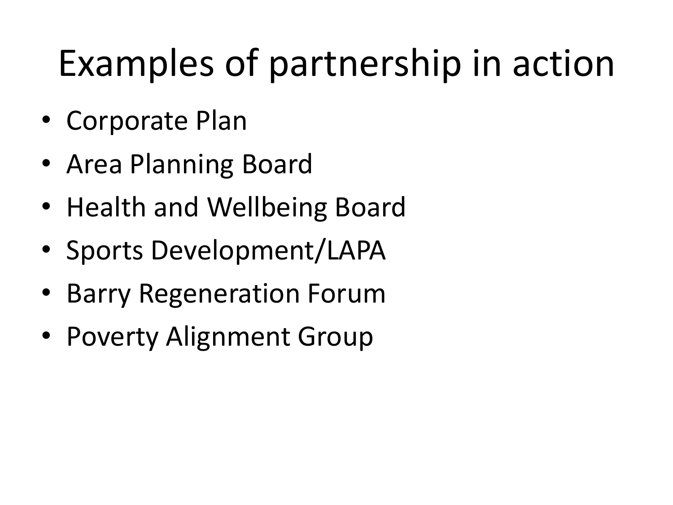## Examples of partnership in action

- Corporate Plan
- Area Planning Board
- Health and Wellbeing Board
- Sports Development/LAPA
- Barry Regeneration Forum
- Poverty Alignment Group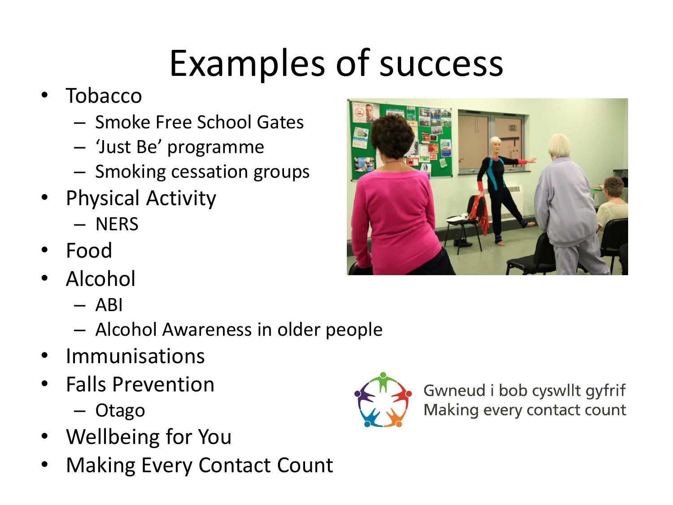## Examples of success

- Tobacco
	- Smoke Free School Gates
	- 'Just Be' programme
	- Smoking cessation groups
- Physical Activity
	- NERS
- Food
- Alcohol
	- $-$  ABI
	- Alcohol Awareness in older people
- Immunisations
- Falls Prevention
	- Otago
- Wellbeing for You
- **Making Every Contact Count**





Gwneud i bob cyswllt gyfrif Making every contact count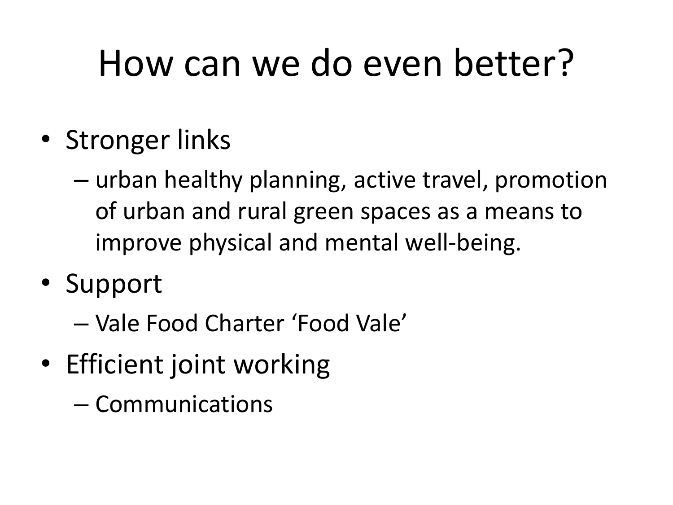## How can we do even better?

- Stronger links
	- urban healthy planning, active travel, promotion of urban and rural green spaces as a means to improve physical and mental well-being.
- Support
	- Vale Food Charter 'Food Vale'
- Efficient joint working
	- Communications